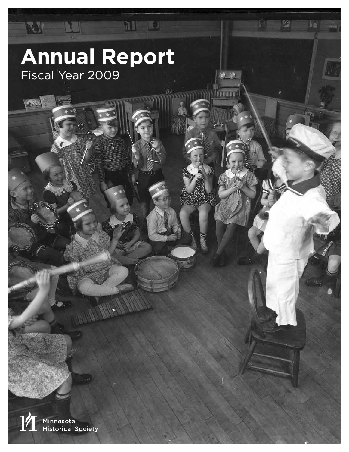# **Annual Report**  Fiscal Year 2009

XY

MI)

 $\Box$ 

陷

 $\bullet$   $\bullet$ 

Fe

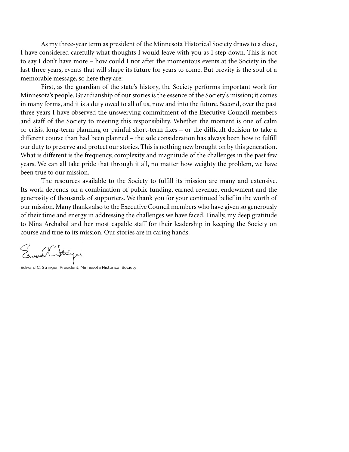As my three-year term as president of the Minnesota Historical Society draws to a close, I have considered carefully what thoughts I would leave with you as I step down. This is not to say I don't have more – how could I not after the momentous events at the Society in the last three years, events that will shape its future for years to come. But brevity is the soul of a memorable message, so here they are:

First, as the guardian of the state's history, the Society performs important work for Minnesota's people. Guardianship of our stories is the essence of the Society's mission; it comes in many forms, and it is a duty owed to all of us, now and into the future. Second, over the past three years I have observed the unswerving commitment of the Executive Council members and staff of the Society to meeting this responsibility. Whether the moment is one of calm or crisis, long-term planning or painful short-term fixes – or the difficult decision to take a different course than had been planned – the sole consideration has always been how to fulfill our duty to preserve and protect our stories. This is nothing new brought on by this generation. What is different is the frequency, complexity and magnitude of the challenges in the past few years. We can all take pride that through it all, no matter how weighty the problem, we have been true to our mission.

The resources available to the Society to fulfill its mission are many and extensive. Its work depends on a combination of public funding, earned revenue, endowment and the generosity of thousands of supporters. We thank you for your continued belief in the worth of our mission. Many thanks also to the Executive Council members who have given so generously of their time and energy in addressing the challenges we have faced. Finally, my deep gratitude to Nina Archabal and her most capable staff for their leadership in keeping the Society on course and true to its mission. Our stories are in caring hands.

Edward C. Stringer, President, Minnesota Historical Society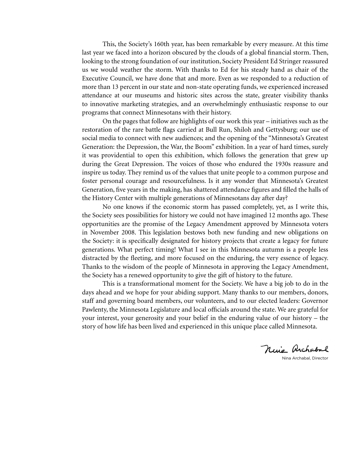This, the Society's 160th year, has been remarkable by every measure. At this time last year we faced into a horizon obscured by the clouds of a global financial storm. Then, looking to the strong foundation of our institution, Society President Ed Stringer reassured us we would weather the storm. With thanks to Ed for his steady hand as chair of the Executive Council, we have done that and more. Even as we responded to a reduction of more than 13 percent in our state and non-state operating funds, we experienced increased attendance at our museums and historic sites across the state, greater visibility thanks to innovative marketing strategies, and an overwhelmingly enthusiastic response to our programs that connect Minnesotans with their history.

On the pages that follow are highlights of our work this year – initiatives such as the restoration of the rare battle flags carried at Bull Run, Shiloh and Gettysburg; our use of social media to connect with new audiences; and the opening of the "Minnesota's Greatest Generation: the Depression, the War, the Boom" exhibition. In a year of hard times, surely it was providential to open this exhibition, which follows the generation that grew up during the Great Depression. The voices of those who endured the 1930s reassure and inspire us today. They remind us of the values that unite people to a common purpose and foster personal courage and resourcefulness. Is it any wonder that Minnesota's Greatest Generation, five years in the making, has shattered attendance figures and filled the halls of the History Center with multiple generations of Minnesotans day after day?

No one knows if the economic storm has passed completely, yet, as I write this, the Society sees possibilities for history we could not have imagined 12 months ago. These opportunities are the promise of the Legacy Amendment approved by Minnesota voters in November 2008. This legislation bestows both new funding and new obligations on the Society: it is specifically designated for history projects that create a legacy for future generations. What perfect timing! What I see in this Minnesota autumn is a people less distracted by the fleeting, and more focused on the enduring, the very essence of legacy. Thanks to the wisdom of the people of Minnesota in approving the Legacy Amendment, the Society has a renewed opportunity to give the gift of history to the future.

This is a transformational moment for the Society. We have a big job to do in the days ahead and we hope for your abiding support. Many thanks to our members, donors, staff and governing board members, our volunteers, and to our elected leaders: Governor Pawlenty, the Minnesota Legislature and local officials around the state. We are grateful for your interest, your generosity and your belief in the enduring value of our history – the story of how life has been lived and experienced in this unique place called Minnesota.

Nine Archabal

Nina Archabal, Director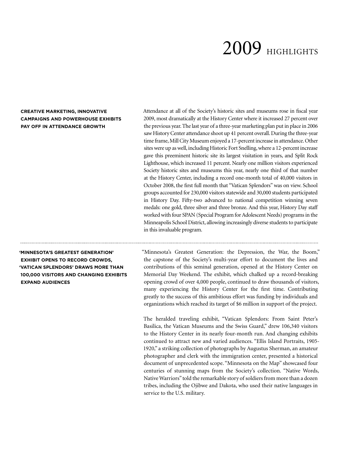# 2009 HIGHLIGHTS

# **CREATIVE MARKETING, INNOVATIVE CAMPAIGNS AND POWERHOUSE EXHIBITS PAY OFF IN ATTENDANCE GROWTH**

Attendance at all of the Society's historic sites and museums rose in fiscal year 2009, most dramatically at the History Center where it increased 27 percent over the previous year. The last year of a three-year marketing plan put in place in 2006 saw History Center attendance shoot up 41 percent overall. During the three-year time frame, Mill City Museum enjoyed a 17-percent increase in attendance. Other sites were up as well, including Historic Fort Snelling, where a 12-percent increase gave this preeminent historic site its largest visitation in years, and Split Rock Lighthouse, which increased 11 percent. Nearly one million visitors experienced Society historic sites and museums this year, nearly one third of that number at the History Center, including a record one-month total of 40,000 visitors in October 2008, the first full month that "Vatican Splendors" was on view. School groups accounted for 230,000 visitors statewide and 30,000 students participated in History Day. Fifty-two advanced to national competition winning seven medals: one gold, three silver and three bronze. And this year, History Day staff worked with four SPAN (Special Program for Adolescent Needs) programs in the Minneapolis School District, allowing increasingly diverse students to participate in this invaluable program.

**'MINNESOTA'S GREATEST GENERATION' EXHIBIT OPENS TO RECORD CROWDS, 'VATICAN SPLENDORS' DRAWS MORE THAN 100,000 VISITORS AND CHANGING EXHIBITS EXPAND AUDIENCES** 

"Minnesota's Greatest Generation: the Depression, the War, the Boom," the capstone of the Society's multi-year effort to document the lives and contributions of this seminal generation, opened at the History Center on Memorial Day Weekend. The exhibit, which chalked up a record-breaking opening crowd of over 4,000 people, continued to draw thousands of visitors, many experiencing the History Center for the first time. Contributing greatly to the success of this ambitious effort was funding by individuals and organizations which reached its target of \$6 million in support of the project.

The heralded traveling exhibit, "Vatican Splendors: From Saint Peter's Basilica, the Vatican Museums and the Swiss Guard," drew 106,340 visitors to the History Center in its nearly four-month run. And changing exhibits continued to attract new and varied audiences. "Ellis Island Portraits, 1905- 1920," a striking collection of photographs by Augustus Sherman, an amateur photographer and clerk with the immigration center, presented a historical document of unprecedented scope. "Minnesota on the Map" showcased four centuries of stunning maps from the Society's collection. "Native Words, Native Warriors" told the remarkable story of soldiers from more than a dozen tribes, including the Ojibwe and Dakota, who used their native languages in service to the U.S. military.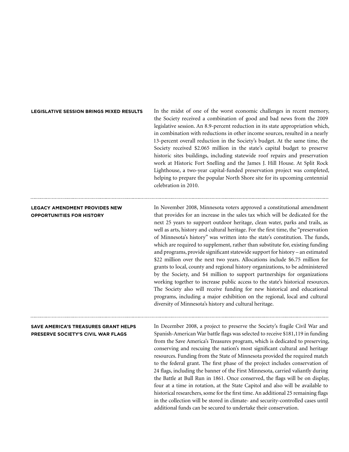# **LEGISLATIVE SESSION BRINGS MIXED RESULTS**

In the midst of one of the worst economic challenges in recent memory, the Society received a combination of good and bad news from the 2009 legislative session. An 8.9-percent reduction in its state appropriation which, in combination with reductions in other income sources, resulted in a nearly 13-percent overall reduction in the Society's budget. At the same time, the Society received \$2.065 million in the state's capital budget to preserve historic sites buildings, including statewide roof repairs and preservation work at Historic Fort Snelling and the James J. Hill House. At Split Rock Lighthouse, a two-year capital-funded preservation project was completed, helping to prepare the popular North Shore site for its upcoming centennial celebration in 2010.

# **LEGACY AMENDMENT PROVIDES NEW OPPORTUNITIES FOR HISTORY**

In November 2008, Minnesota voters approved a constitutional amendment that provides for an increase in the sales tax which will be dedicated for the next 25 years to support outdoor heritage, clean water, parks and trails, as well as arts, history and cultural heritage. For the first time, the "preservation of Minnesota's history" was written into the state's constitution. The funds, which are required to supplement, rather than substitute for, existing funding and programs, provide significant statewide support for history – an estimated \$22 million over the next two years. Allocations include \$6.75 million for grants to local, county and regional history organizations, to be administered by the Society, and \$4 million to support partnerships for organizations working together to increase public access to the state's historical resources. The Society also will receive funding for new historical and educational programs, including a major exhibition on the regional, local and cultural diversity of Minnesota's history and cultural heritage.

# **SAVE AMERICA'S TREASURES GRANT HELPS PRESERVE SOCIETY'S CIVIL WAR FLAGS**

In December 2008, a project to preserve the Society's fragile Civil War and Spanish-American War battle flags was selected to receive \$181,119 in funding from the Save America's Treasures program, which is dedicated to preserving, conserving and rescuing the nation's most significant cultural and heritage resources. Funding from the State of Minnesota provided the required match to the federal grant. The first phase of the project includes conservation of 24 flags, including the banner of the First Minnesota, carried valiantly during the Battle at Bull Run in 1861. Once conserved, the flags will be on display, four at a time in rotation, at the State Capitol and also will be available to historical researchers, some for the first time. An additional 25 remaining flags in the collection will be stored in climate- and security-controlled cases until additional funds can be secured to undertake their conservation.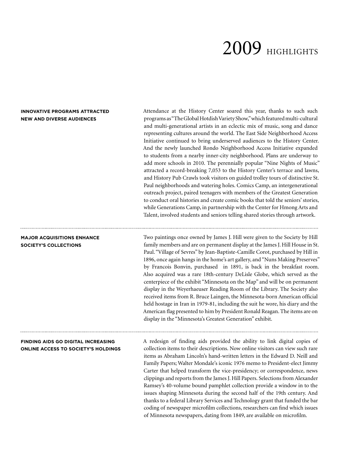# 2009 HIGHLIGHTS

# **INNOVATIVE PROGRAMS ATTRACTED NEW AND DIVERSE AUDIENCES**

Attendance at the History Center soared this year, thanks to such such programs as "The Global Hotdish Variety Show," which featured multi-cultural and multi-generational artists in an eclectic mix of music, song and dance representing cultures around the world. The East Side Neighborhood Access Initiative continued to bring underserved audiences to the History Center. And the newly launched Rondo Neighborhood Access Initiative expanded to students from a nearby inner-city neighborhood. Plans are underway to add more schools in 2010. The perennially popular "Nine Nights of Music" attracted a record-breaking 7,053 to the History Center's terrace and lawns, and History Pub Crawls took visitors on guided trolley tours of distinctive St. Paul neighborhoods and watering holes. Comics Camp, an intergenerational outreach project, paired teenagers with members of the Greatest Generation to conduct oral histories and create comic books that told the seniors' stories, while Generations Camp, in partnership with the Center for Hmong Arts and Talent, involved students and seniors telling shared stories through artwork.

**MAJOR ACQUISITIONS ENHANCE SOCIETY'S COLLECTIONS**

Two paintings once owned by James J. Hill were given to the Society by Hill family members and are on permanent display at the James J. Hill House in St. Paul. "Village of Sevres" by Jean-Baptiste-Camille Corot, purchased by Hill in 1896, once again hangs in the home's art gallery, and "Nuns Making Preserves" by Francois Bonvin, purchased in 1891, is back in the breakfast room. Also acquired was a rare 18th-century DeLisle Globe, which served as the centerpiece of the exhibit "Minnesota on the Map" and will be on permanent display in the Weyerhaeuser Reading Room of the Library. The Society also received items from R. Bruce Laingen, the Minnesota-born American official held hostage in Iran in 1979-81, including the suit he wore, his diary and the American flag presented to him by President Ronald Reagan. The items are on display in the "Minnesota's Greatest Generation" exhibit.

# **FINDING AIDS GO DIGITAL INCREASING ONLINE ACCESS TO SOCIETY'S HOLDINGS**

A redesign of finding aids provided the ability to link digital copies of collection items to their descriptions. Now online visitors can view such rare items as Abraham Lincoln's hand-written letters in the Edward D. Neill and Family Papers; Walter Mondale's iconic 1976 memo to President-elect Jimmy Carter that helped transform the vice-presidency; or correspondence, news clippings and reports from the James J. Hill Papers. Selections from Alexander Ramsey's 40-volume bound pamphlet collection provide a window in to the issues shaping Minnesota during the second half of the 19th century. And thanks to a federal Library Services and Technology grant that funded the bar coding of newspaper microfilm collections, researchers can find which issues of Minnesota newspapers, dating from 1849, are available on microfilm.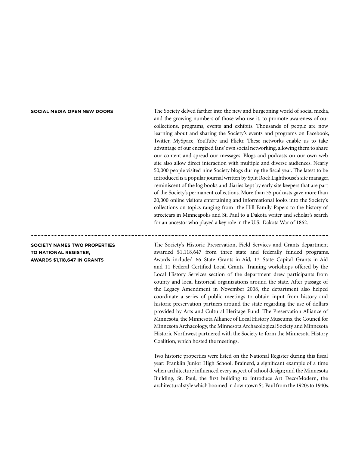# **SOCIAL MEDIA OPEN NEW DOORS**

The Society delved farther into the new and burgeoning world of social media, and the growing numbers of those who use it, to promote awareness of our collections, programs, events and exhibits. Thousands of people are now learning about and sharing the Society's events and programs on Facebook, Twitter, MySpace, YouTube and Flickr. These networks enable us to take advantage of our energized fans' own social networking, allowing them to share our content and spread our messages. Blogs and podcasts on our own web site also allow direct interaction with multiple and diverse audiences. Nearly 50,000 people visited nine Society blogs during the fiscal year. The latest to be introduced is a popular journal written by Split Rock Lighthouse's site manager, reminiscent of the log books and diaries kept by early site keepers that are part of the Society's permanent collections. More than 35 podcasts gave more than 20,000 online visitors entertaining and informational looks into the Society's collections on topics ranging from the Hill Family Papers to the history of streetcars in Minneapolis and St. Paul to a Dakota writer and scholar's search for an ancestor who played a key role in the U.S.-Dakota War of 1862.

**SOCIETY NAMES TWO PROPERTIES TO NATIONAL REGISTER, AWARDS \$1,118,647 IN GRANTS**

The Society's Historic Preservation, Field Services and Grants department awarded \$1,118,647 from three state and federally funded programs. Awards included 66 State Grants-in-Aid, 13 State Capital Grants-in-Aid and 11 Federal Certified Local Grants. Training workshops offered by the Local History Services section of the department drew participants from county and local historical organizations around the state. After passage of the Legacy Amendment in November 2008, the department also helped coordinate a series of public meetings to obtain input from history and historic preservation partners around the state regarding the use of dollars provided by Arts and Cultural Heritage Fund. The Preservation Alliance of Minnesota, the Minnesota Alliance of Local History Museums, the Council for Minnesota Archaeology, the Minnesota Archaeological Society and Minnesota Historic Northwest partnered with the Society to form the Minnesota History Coalition, which hosted the meetings.

Two historic properties were listed on the National Register during this fiscal year: Franklin Junior High School, Brainerd, a significant example of a time when architecture influenced every aspect of school design; and the Minnesota Building, St. Paul, the first building to introduce Art Deco/Modern, the architectural style which boomed in downtown St. Paul from the 1920s to 1940s.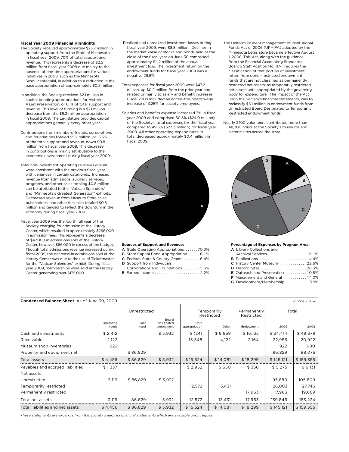# **Fiscal Year 2009 Financial Highlights**

- The Society received approximately \$23.7 million in operating support from the State of Minnesota in fiscal year 2009, 70% of total support and revenue. This represents a decrease of \$2.5 million from fiscal year 2008 due mainly to the absence of one-time appropriations for various initiatives in 2008, such as the Minnesota Sesquicentennial, in addition to a reduction in the base appropriation of approximately \$0.5 million.
- In addition, the Society received \$2.1 million in capital bonding appropriations for Historic Asset Preservation, or 6.1% of total support and revenue. This level of funding is a \$7.1 million decrease from the \$9.2 million appropriation in fiscal 2008. The Legislature provides capital appropriations generally every other year.
- Contributions from members, friends, corporations and foundations totaled \$5.2 million, or 15.3% of the total support and revenue, down \$0.8 million from fiscal year 2008. This decrease in contributions is mainly attributable to the economic environment during fiscal year 2009.
- Total non-investment operating revenues overall were consistent with the previous fiscal year, with variances in certain categories. Increased revenue from admissions, auxiliary services, programs, and other sales totaling \$0.8 million can be attributed to the "Vatican Splendors" and "Minnesota's Greatest Generation" exhibits. Decreased revenue from Museum Store sales, publications, and other fees also totaled \$0.8 million and tended to reflect the downturn in the economy during fiscal year 2009.
- Fiscal year 2009 was the fourth full year of the Society charging for admission at the History Center, which resulted in approximately \$266,000 in admission fees. This represents a decrease of \$47,000 in admissions sold at the History Center, however, \$66,000 in excess of the budget. Though total admissions revenue increased during fiscal 2009, the decrease in admissions sold at the History Center was due to the use of Ticketmaster for the "Vatican Splendors" exhibit. During fiscal year 2009, memberships were sold at the History Center generating over \$135,000.
- Realized and unrealized Investment losses during fiscal year 2009, were \$8.8 million. Declines in the market value of stocks and bonds held at the close of the fiscal year on June 30 comprised approximatey \$4.2 million of the annual investment loss. The investment return on the endowment funds for fiscal year 2009 was a negative 29.5%.
- Total expenses for fiscal year 2009 were \$47.2 million, up \$0.2 million from the prior year and related primarily to salary and benefit increases. Fiscal 2009 included an across-the-board wage increase of 3.25% for society employees.
- Salaries and benefits expense increased 3% in fiscal year 2009 and comprised 50.8% (\$24.0 million) of the Society's total expenses for the fiscal year, compared to 49.5% (\$23.3 million) for fiscal year 2008. All other operating expenditures in total decreased approximately \$0.4 million in fiscal 2009.
- The Uniform Prudent Management of Institutional Funds Act of 2006 (UPMIFA) adopted by the Minnesota Legislature became effective August 1, 2008. This Act, along with the guidance from the Financial Accounting Standards Board's Staff Position No. 117-1, requires the classification of that portion of investment return from donor-restricted endowment funds that are not classified as permanently restricted net assets, as temporarily restricted net assets until appropriated by the governing body for expenditure. The impact of the Act upon the Society's financial statements, was to reclassify \$5.1 million in endowment funds from Unrestricted Board Designated to Temporarily Restricted endowment funds.
- Nearly 2,100 volunteers contributed more than 48,700 hours at the Society's museums and historic sites across the state.



# **Sources of Support and Revenue:**

- A State Operating Appropriations ......70.0%
- B State Capital Bond Appropriation . . . . . . 6.1%
- C Federal, State & County Grants . . . . . . . 6.4%
- D Support from Individuals,
- Corporations and Foundations ....... 15.3% E Earned Income .......................... 2.2%



#### **Percentage of Expenses by Program Area:**

|  |  | A Library Collections and |  |
|--|--|---------------------------|--|
|--|--|---------------------------|--|

| A Library concentris and               |  |
|----------------------------------------|--|
| Archival Services  16.1%               |  |
| B Publications  4.4%                   |  |
| C History Center Museum  22.6%         |  |
| D Historic Sites 28.3%                 |  |
| E Outreach and Preservation  10.8%     |  |
| <b>F</b> Management and General  14.0% |  |
|                                        |  |

G Development/Membership . . . . . . . . . . . 3.9%

| <b>Condensed Balance Sheet</b> As of June 30, 2009 |                    |               |                                  |                        |                           |           |           | (000's) omitted |
|----------------------------------------------------|--------------------|---------------|----------------------------------|------------------------|---------------------------|-----------|-----------|-----------------|
|                                                    | Unrestricted       |               | Temporarily<br>Restricted        |                        | Permanently<br>Restricted | Total     |           |                 |
|                                                    | Operating<br>funds | Plant<br>fund | Board<br>designated<br>endowment | State<br>appropriation | Other                     | Endowment | 2009      | 2008            |
| Cash and investments                               | \$2,412            |               | \$5,932                          | \$(24)                 | \$9,959                   | \$16,135  | \$34,414  | \$49,378        |
| Receivables                                        | 1,122              |               |                                  | 15,548                 | 4,122                     | 2,164     | 22,956    | 20,922          |
| Museum shop inventories                            | 922                |               |                                  |                        |                           |           | 922       | 980             |
| Property and equipment net                         |                    | \$86,829      |                                  |                        |                           |           | 86,829    | 88,075          |
| Total assets                                       | \$4,456            | \$86,829      | \$5,932                          | \$15,524               | \$14,081                  | \$18,299  | \$145,121 | \$159,355       |
| Payables and accrued liabilities                   | \$1,337            |               |                                  | \$2,952                | \$650                     | \$336     | \$5,275   | \$6,131         |
| Net assets:                                        |                    |               |                                  |                        |                           |           |           |                 |
| Unrestricted                                       | 3,119              | \$86,829      | \$5,932                          |                        |                           |           | 95,880    | 105,809         |
| Temporarily restricted                             |                    |               |                                  | 12,572                 | 13,431                    |           | 26,003    | 27,746          |
| Permanently restricted                             |                    |               |                                  |                        |                           | 17,963    | 17,963    | 19,669          |
| Total net assets                                   | 3.119              | 86,829        | 5,932                            | 12,572                 | 13,431                    | 17,963    | 139,846   | 153,224         |
| Total liabilities and net assets                   | \$4,456            | \$86,829      | \$5,932                          | \$15,524               | \$14,081                  | \$18,299  | \$145,121 | \$159,355       |

*These statements are excerpts from the Society's audited financial statements which are available upon request.*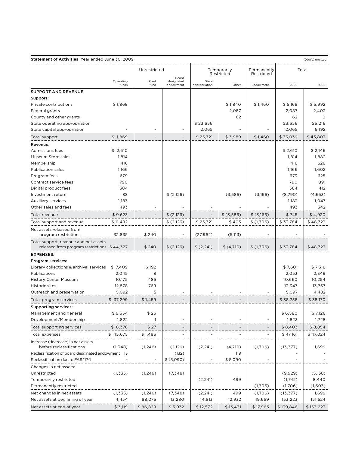| <b>Statement of Activities</b> Year ended June 30, 2009                               |                    |               |                                  |                        |                           |             |           | (000's) omitted |
|---------------------------------------------------------------------------------------|--------------------|---------------|----------------------------------|------------------------|---------------------------|-------------|-----------|-----------------|
|                                                                                       |                    |               | Unrestricted                     |                        | Temporarily<br>Restricted |             | Total     |                 |
|                                                                                       | Operating<br>funds | Plant<br>fund | Board<br>designated<br>endowment | State<br>appropriation | Other                     | Endowment   | 2009      | 2008            |
| <b>SUPPORT AND REVENUE</b>                                                            |                    |               |                                  |                        |                           |             |           |                 |
| Support:                                                                              |                    |               |                                  |                        |                           |             |           |                 |
| Private contributions                                                                 | \$1,869            |               |                                  |                        | \$1,840                   | \$1,460     | \$5,169   | \$5,992         |
| Federal grants                                                                        |                    |               |                                  |                        | 2,087                     |             | 2,087     | 2,403           |
| County and other grants                                                               |                    |               |                                  |                        | 62                        |             | 62        | 0               |
| State operating appropriation                                                         |                    |               |                                  | \$23.656               |                           |             | 23.656    | 26,216          |
| State capital appropriation                                                           |                    |               |                                  | 2,065                  |                           |             | 2,065     | 9,192           |
| Total support                                                                         | \$1,869            |               |                                  | \$25,721               | \$3,989                   | \$1,460     | \$33,039  | \$43,803        |
| Revenue:                                                                              |                    |               |                                  |                        |                           |             |           |                 |
| <b>Admissions fees</b>                                                                | \$2,610            |               |                                  |                        |                           |             | \$2,610   | \$2,146         |
| Museum Store sales                                                                    | 1,814              |               |                                  |                        |                           |             | 1,814     | 1,882           |
| Membership                                                                            | 416                |               |                                  |                        |                           |             | 416       | 626             |
| <b>Publication sales</b>                                                              | 1,166              |               |                                  |                        |                           |             | 1,166     | 1,602           |
| Program fees                                                                          | 679                |               |                                  |                        |                           |             | 679       | 625             |
| Contract service fees                                                                 | 790                |               |                                  |                        |                           |             | 790       | 891             |
| Digital product fees                                                                  | 384                |               |                                  |                        |                           |             | 384       | 412             |
| Investment return                                                                     | 88                 |               | \$(2,126)                        |                        | (3,586)                   | (3,166)     | (8,790)   | (4,653)         |
| Auxiliary services                                                                    | 1,183              |               |                                  |                        |                           |             | 1,183     | 1,047           |
| Other sales and fees                                                                  | 493                |               |                                  |                        |                           |             | 493       | 342             |
| Total revenue                                                                         | \$9,623            |               | \$(2,126)                        |                        | $$$ (3,586)               | $$$ (3,166) | \$745     | \$4,920         |
| Total support and revenue                                                             | \$11,492           |               | \$(2,126)                        | \$25,721               | \$403                     | \$(1,706)   | \$33,784  | \$48,723        |
| Net assets released from                                                              |                    |               |                                  |                        |                           |             |           |                 |
| program restrictions                                                                  | 32,835             | \$240         |                                  | (27, 962)              | (5, 113)                  |             |           |                 |
| Total support, revenue and net assets<br>released from program restrictions $$44,327$ |                    | \$240         | \$(2,126)                        | \$(2,241)              | \$ (4,710)                | \$(1,706)   | \$33,784  | \$48,723        |
| <b>EXPENSES:</b>                                                                      |                    |               |                                  |                        |                           |             |           |                 |
| Program services:                                                                     |                    |               |                                  |                        |                           |             |           |                 |
| Library collections & archival services                                               | \$7,409            | \$192         |                                  |                        |                           |             | \$7,601   | \$7,318         |
| Publications                                                                          | 2,045              | 8             |                                  |                        |                           |             | 2,053     | 2,349           |
| <b>History Center Museum</b>                                                          | 10,175             | 485           |                                  |                        |                           |             | 10,660    | 10,254          |
| Historic sites                                                                        | 12,578             | 769           |                                  |                        |                           |             | 13,347    | 13,767          |
| Outreach and preservation                                                             | 5,092              | 5             |                                  |                        |                           |             | 5,097     | 4,482           |
| Total program services                                                                | \$ 37,299          | \$1,459       |                                  |                        |                           |             | \$38,758  | \$38,170        |
| <b>Supporting services:</b>                                                           |                    |               |                                  |                        |                           |             |           |                 |
| Management and general                                                                | \$6,554            | \$26          |                                  |                        |                           |             | \$6,580   | \$ 7,126        |
| Development/Membership                                                                | 1,822              | 1             |                                  |                        |                           |             | 1,823     | 1,728           |
| Total supporting services                                                             | \$ 8,376           | \$27          |                                  |                        |                           |             | \$ 8,403  | \$8,854         |
| Total expenses                                                                        | \$45,675           | \$1,486       |                                  |                        |                           |             | \$47,161  | \$ 47,024       |
| Increase (decrease) in net assets                                                     |                    |               |                                  |                        |                           |             |           |                 |
| before reclassifications                                                              | (1,348)            | (1, 246)      | (2,126)                          | (2, 241)               | (4,710)                   | (1,706)     | (13, 377) | 1,699           |
| Reclassification of board designated endowment 13                                     |                    |               | (132)                            |                        | 119                       |             |           |                 |
| Reclassification due to FAS 117-1                                                     |                    |               | \$ (5,090)                       |                        | \$5,090                   |             |           |                 |
| Changes in net assets:                                                                |                    |               |                                  |                        |                           |             |           |                 |
| Unrestricted                                                                          | (1,335)            | (1, 246)      | (7, 348)                         |                        |                           |             | (9,929)   | (5, 138)        |
| Temporarily restricted                                                                |                    |               |                                  | (2, 241)               | 499                       |             | (1,742)   | 8,440           |
| Permanently restricted                                                                |                    |               |                                  |                        |                           | (1,706)     | (1,706)   | (1,603)         |
| Net changes in net assets                                                             | (1,335)            | (1, 246)      | (7, 348)                         | (2, 241)               | 499                       | (1,706)     | (13, 377) | 1,699           |
| Net assets at beginning of year                                                       | 4,454              | 88,075        | 13,280                           | 14,813                 | 12,932                    | 19,669      | 153,223   | 151,524         |
| Net assets at end of year                                                             | \$3,119            | \$86,829      | \$5,932                          | \$12,572               | \$13,431                  | \$17,963    | \$139,846 | \$153,223       |
|                                                                                       |                    |               |                                  |                        |                           |             |           |                 |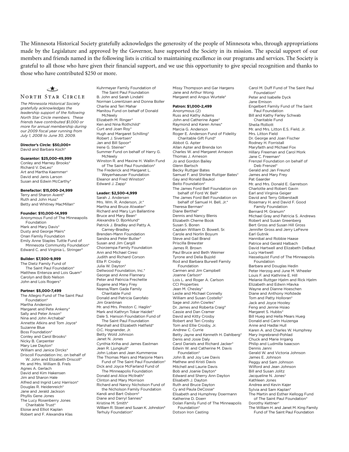The Minnesota Historical Society gratefully acknowledges the generosity of the people of Minnesota who, through appropriations made by the Legislature and approved by the Governor, have supported the Society in its mission. The special support of our members and friends named in the following lists is critical to maintaining excellence in our programs and services. The Society is grateful to all those who have given their financial support, and we use this opportunity to give special recognition and thanks to those who have contributed \$250 or more.

∈★⇒

# **NORTH STAR CIRCLE**

*The Minnesota Historical Society gratefully acknowledges the leadership support of the following North Star Circle members. These friends have contributed \$1,000 or more for annual membership during our 2009 fiscal year running from July 1, 2008 to June 30, 2009.* 

**Director's Circle: \$50,000+** David and Barbara Koch\*

#### **Guarantor: \$25,000-49,999**

Conley and Marney Brooks\* Richard V. DeLeo\* Art and Martha Kaemmer† David and Janis Larson Susan and Edwin McCarthy\*

# **Benefactor: \$15,000-24,999**

Terry and Sharon Avent\* Ruth and John Huss\* Betty and Whitney MacMillan\*

# **Founder: \$10,000-14,999**

Anonymous Fund of The Minneapolis Foundation Mark and Mary Davis\* Dusty and George Mairs\* Onan Family Foundation Emily Anne Staples Tuttle Fund of Minnesota Community Foundation\* Edward C. and Virginia L. Stringer°

## **Builder: \$7,500-9,999**

The Dietz Family Fund of The Saint Paul Foundation\* Matthew Entenza and Lois Quam° Carolyn and Bob Nelson John and Lois Rogers\*

# **Partner: \$5,000-7,499**

The Allegro Fund of The Saint Paul Foundation\* Martha Anderson Margaret and Pete Ankeny\* Sally and Peter Anson\* Nina and John Archabal\* Annette Atkins and Tom Joyce\* Suzanne Blue Boss Foundation\* Conley and Carol Brooks† Nicky B. Carpenter Mary Lee Dayton\* William and Janice Dircks\* Driscoll Foundation Inc. on behalf of W. John and Elizabeth Driscoll\* Mr. and Mrs. William B. Frels Agnes A. Gerlach David and Kim Hakensen Jim and Sharon Hale Alfred and Ingrid Lenz Harrison\* Douglas R. Heidenreich\* Jane and Jerald Jackson Phyllis Gene Jones The Lucy Rosenberry Jones Charitable Trust\* Eloise and Elliot Kaplan Robert and F. Alexandra Klas

Kuhrmeyer Family Foundation of The Saint Paul Foundation B. John and Sarah Lindahl Norman Lorentzsen and Donna Boller Charlie and Teri Mahar Manitou Fund on behalf of Donald McNeely Elizabeth M. Ringer\* Ken and Nina Rothchild\* Curt and Joan Roy\* Hugh and Margaret Schilling\* Robert J. Sivertsen\* Jan and Bill Spoor° Irene G. Steiner\* Summer Fund on behalf of Harry G. McNeely Winston R. and Maxine H. Wallin Fund of The Saint Paul Foundation\* The Frederick and Margaret L. Weyerhaeuser Foundation Eleanor and Fred Winston\* Edward J. Zapp\* **Leader: \$2,500-4,999** Sarah J. Andersen Mrs. Wm. R. Anderson, Jr.\* Martha and Bruce Atwater\*

Richard and Mary Lyn Ballantine Bruce and Mary Bean\* Alexandra O. Bjorklund\* Patrick J. Bradley and Patty A. Carney-Bradley Brenden-Mann Foundation Sandra and Peter Butler\* Susan and Jim Cargill Chorzempa Family Foundation Ann and Michael Ciresi Judith and Richard Corson Ella P. Crosby Julia W. Dayton\* Dellwood Foundation, Inc.\* George and Anne Flannery Peter and Patricia Frechette Eugene and Mary Frey Neena/Ram Gada Family Charitable Fund Donald and Patricia Garofalo Jim Grantman Mr. and Mrs. Preston C. Haglin\* Mark and Kathryn Tokar Haidet\* Dale S. Hanson Foundation Fund of The Saint Paul Foundation Marshall and Elizabeth Hatfield\* O.C. Hognander, Jr. Betty Wold Johnson Janet N. Jones Cynthia Kriha and James Eastman Jean R. Liungkull\* John Loban and Jean Kummerow The Thomas Mairs and Marjorie Mairs Fund of The Saint Paul Foundation\* Dick and Joyce McFarland Fund of The Minneapolis Foundation Donald and Alice McIlrath\* Clinton and Mary Morrison Richard and Nancy Nicholson Fund of the Nicholson Family Foundation Kandi and Bart Osborn\* Diane and Darryl Sannes° Kristine M. Smith\* William R. Stoeri and Susan K. Johnston° Terhuly Foundation\*

Missy Thompson and Gar Hargens Jane and Arthur Wong Margaret and Angus Wurtele\*

# **Patron: \$1,000-2,499**

Anonymous (2) Russ and Kathy Adams John and Catherine Agee\* Raymond and Karen Ames\* Marcia G. Anderson Roger E. Anderson Fund of Fidelity Charitable Gift Fund\* Abbot G. Apter Allan Apter and Brenda Ion Charles W. and Margaret Arnason Thomas J. Arneson Jo and Gordon Bailey Glenn Bartsch Becky Ruttger Bates Samuel F. and Shirlee Ruttger Bates\* Gay and Ronald Baukol Beito Foundation\* The James Ford Bell Foundation on behalf of Ford W. Bell\* The James Ford Bell Foundation on behalf of Samuel H. Bell, Jr.\* Theresa Berman\* Diane Berthel\* Dennis and Nancy Blenis Elizabeth Cherne Book Susan S. Boren Captain William D. Bowell, Sr. Carole and Norlin Boyum Steve and Gail Brand Priscilla Brewster James R. Brown Paul Bruce and Beth Weimer Tyrone and Delia Bujold Rod and Barbara Burwell Family Foundation Carmen and Jim Campbell Joanne Carlson\* Lois L. and Roger A. Carlson CCI Properties Jean M. Chesley\* Leslie and Michael Connelly William and Susan Costello\* Sage and John Cowles\* Dr. James and Roberta Craig° Cassie and Dan Cramer David and Kitty Crosby Robert and Teri Crosby Tom and Ellie Crosby, Jr. Andrew C. Currie Betty Jayne and Kenneth H. Dahlberg\* Denis and Josie Daly Carol Daniels and Richard Jacker\* Edwin W. and Catherine M. Davis Foundation\* John B. and Joy Lee Davis Mathew and Kristi Davis Mitchell and Laurie Davis Bob and Joanie Dayton\* Edward and Sherry Ann Dayton Elisabeth J. Dayton Ruth and Bruce Dayton Cy and Paula DeCosse\* Elisabeth and Humphrey Doermann Katherine D. Doerr Dolan Family Fund of The Minneapolis Foundation\* Dotson Iron Casting

Carol M. Duff Fund of The Saint Paul Foundation\* Peter and Isabelle Dyck Jane Emison Engelbert Family Fund of The Saint Paul Foundation Bill and Kathy Farley Schwab Charitable Fund Sheila ffolliott Mr. and Mrs. Litton E.S. Field, Jr. Mrs. Litton Field Dr. George and Joan Fischer Rodney H. Forristall Maryfaith and Michael Fox Hillary Freeman and Carol Mork Jane C. Freeman\* Frenzel Foundation on behalf of Deb Frenzel\* Gerald and Jan Freund James and Mary Frey Pat Gaarder Mr. and Mrs. Donald E. Garretson Charlotte and Robert Gavin Earl and Virginia Geiger David and Terry Gilberstadt Rosemary H. and David F. Good Family Foundation Bernard M. Granum\* Michael Gray and Patricia S. Andrews Robert and Susan Greenberg Bert Gross and Susan Hill Gross Jennifer Gross and Jerry LeFevre Earl Gutnik Hannibal and Robbie Haase Patrice and Gerald Halbach David Hartwell and Elizabeth DeBaut Lucy Hartwell Hasselquist Fund of The Minneapolis Foundation Barbara and Douglas Hedin Peter Herzog and June M. Wheeler Louis F. and Kathrine E. Hill Melanie Ruttger Hjelm and Rick Hjelm Elizabeth and Edwin Hlavka Wayne and Dianne Hoeschen Diane and Anthony Hofstede Tom and Patty Holloran\* Jack and Joyce Hooley Feng and Jennie Hsiao Margaret S. Hubbs\* Bill Hueg and Hella Mears Hueg Donald and Carin Huizenga Anne and Hadlai Hull Karen A. and Charles W. Humphrey Mary Ingrebrand-Pohlad Chuck and Marie Irrgang Philip and Ludmilla Isaacson Dennis Janni Gerald W. and Victoria Johnson James E. Johnson Peggy and Sam Johnson Wilford and Jean Johnson Bill and Susan Jolitz Jacqueline N. Jones† Kathleen Jones Andrea and Kevin Kajer Sylvia and Sam Kaplan\* The Martin and Esther Kellogg Fund of The Saint Paul Foundation\* Dorothy Kettner† The William H. and Janet M. King Family Fund of The Saint Paul Foundation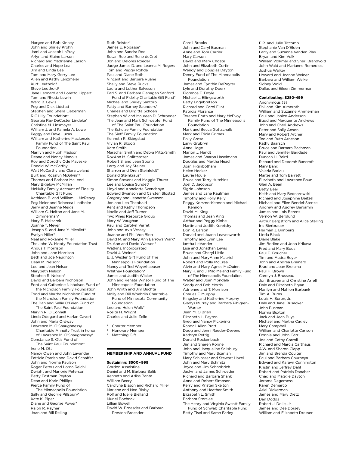Margee and Bob Kinney John and Shirley Krohn Jami and Joseph LaPray Arlyn and Elaine Larson Richard and Madrienne Larson Charles and Hope Lea Jim and Linda Lee Tom and Mary Gerry Lee Allen and Kathy Lenzmeier Kurt Leuthold† Steve Leuthold† Jane Leonard and Loretto Lippert Tom and Rhoda Lewin Ward B. Lewis Peg and Dick Lidstad Stephen and Sheila Lieberman R C Lilly Foundation\* Georgia Ray DeCoster Lindeke\* Christine M. Linsmayer William J. and Pamela A. Lowe Peggy and Dave Lucas William and Katherine Mackenzie Family Fund of The Saint Paul Foundation Marilyn and Hugh Madson Deane and Nancy Manolis Roy and Dorothy Ode Mayeske Donald W. McCarthy Walt McCarthy and Clara Ueland Burt and Rosalyn McGlynn† Thomas and Barbara McLeod Mary Bigelow McMillan McNulty Family Account of Fidelity Charitable Gift Fund Kathleen B. and William L. McReavy Peg Meier and Rebecca Lindholm Jerry and Jeanne Meigs William C. Melton and Jane M. Zimmerman\* Mary E. Melzarek Joanne T. Meyer Joseph S. and Jane Y. Micallef\* Evelyn Miller° Neal and Roxanne Miller The John W. Mooty Foundation Trust Angus T. Morrison John and Jane Morrison Beth and Joe Naughton Dean M. Nelson° Lou and Jean Nelson Marybeth Nelson Stephen R. Nelson\* David and Barbara Nicholson Ford and Catherine Nicholson Fund of the Nicholson Family Foundation Todd and Martha Nicholson Fund of the Nicholson Family Foundation The Dan and Sallie O'Brien Fund of The Saint Paul Foundation Marvin R. O'Connell Linda Odegard and Harlan Cavert John and Marla Ordway Lawrence M. O'Shaughnessy Charitable Annuity Trust in honor of Lawrence M. O'Shaughnessy\* Constance S. Otis Fund of The Saint Paul Foundation\* Irene M. Ott Nancy Owen and John Lavander Patricia Parrish and David Schaffer John and Norma Paulson Roger Peters and Lorna Reichl Dwight and Marjorie Peterson Betty Eastman Peyton Dean and Karin Phillips Pierce Family Fund of The Minneapolis Foundation Sally and George Pillsbury\* Kate K. Piper Diane and George Power\* Ralph R. Rayner Joan and Bill Reiling

Ruth Reister\* James E. Robasse\* John and Sandra Roe Susan Roe and Rene duCret Jon and Delores Roeder Judge James D. and Leanna M. Rogers Tom and Peggy Rohde Paul and Diane Roth Vincent and Barbara Ruane Shelly and Steve Rucks Laura and Luther Salveson Earl S. and Barbara Flanagan Sanford Fund of Fidelity Charitable Gift Fund\* Michael and Shirley Santoro Patty and Barney Saunders\* Charles and Birgitta Schoen Stephen W. and Maureen D. Schroeder The Jean and Mark Schroepfer Fund of The Saint Paul Foundation The Schulze Family Foundation The Sieff Family Foundation Kenneth R. Skjegstad Vivian R. Skoog Kate Smith Marschall Smith and Debra Mitts-Smith RoxAnn M. Splittstozer Robert S. and Jean Spong Larry and Joy Steiner Sharron and Oren Steinfeldt<sup>\*</sup> Donald Steinkraus° Simon Stevens and Maggie Thurer Lee and Louise Sundet† Lloyd and Annelotte Svendsbye Edward Swanson and Carsten Slostad Gregory and Jeanette Swenson Jon and Lea Theobald Kent and Kathy Thompson Noelle and Jeff Turner Two Pines Resource Group Mary W. Vaughan Paul and Carolyn Verret John and Avis Vessey Joanne and Phil Von Blon David M. and Mary Ann Barrows Wark\* Dr. Ann and David Wasson\* Watkins, Incorporated David J. Weiner\* E. J. Wexler Gift Fund of The Minneapolis Foundation Nancy and Ted Weyerhaeuser Whitney Foundation\* James and Judith Wicker John and Renata Winsor Fund of The Minneapolis Foundation John Wirth and Jim Buchta Molly and Bill Woehrlin Charitable Fund of Minnesota Community Foundation Leo and Helen Wolk\* Rosita H. Wright Charles and Julie Zelle Charter Member † Honorary Member

# **Membership and Annual Fund**

# **Sustaining: \$500–999**

Matching Gift

Gordon Asselstine Daniel and M. Barbara Balik Kenneth and Arliss Banta William Beery Carolyne Bisson and Richard Miller Marlene and Ned Bixby Rolf and Idelle Bjelland Muriel Bochnak Lillian Bowell David W. Broesder and Barbara Preston-Broesder

Caroll Brooks John and Caryl Busman Anne and Tom Carrier Mary Carson David and Mary Choate John and Elizabeth Curtin Wendy and Douglas Dayton Denny Fund of The Minneapolis Foundation James and Cynthia DeRuyter Lyle and Dorothy Doerr Florence E. Doyle Michael L. Ellingsworth Betty Engebretson Richard and Carol Flint Patricia Florance Terence Fruth and Mary McEvoy Family Fund of The Minneapolis Foundation Mark and Becca Gottschalk Mark and Tricia Grimes Polly Grose Larry Grubryn Anne Hage Marion J. Handt James and Sharon Haselmann Douglas and Martha Head Joan Higinbotham Helen Hocker Laurie Houle Bruce and Terry Hutchins Joel D. Jacobson Sigrid Johnson James and Jane Kaufman Timothy and Holly Kelly Peggy Korsmo-Kennon and Michael Kennon David M. King Thomas and Jean King Arthur and Peggy Klobe Martin and Judith Kuretsky Don R. Larson Donald and Joann Leavenworth Timothy and Lynn Lee Iantha LeVander Lisa and Jonathan Lewis Bruce and Cheryl Little John and MaryAnne Mauriel Robert and Polly McCrea Alvin and Mary Agnes McQuinn Mary H. and J. Milo Meland Family Fund of The Minneapolis Foundation Walter and Joan Mondale Sandy and Bob Morris Adrienne and T. Morrison Charles F. Murphy Kingsley and Katherine Murphy Gladys Murray and Barbara Pihlgren-Warner Jean M. O'Brien Elizabeth L. Peyton Greg and Nancy Pickering Randall Allan Pratt Doug and Jenni Raeder-Devens Kathryn Rettig Donald Rockenbach Jim and Sheren Rogne John and Jacqueline Salisbury Timothy and Mary Scanlan Mary Schlosser and Stewart Hazel John and Mary Schmitz Joyce and Jim Schnobrich Jaclyn and James Schroeder Richard and Barbara Shank Anne and Robert Simpson Kerry and Kristen Skelton Anthony and Heather Smith Elizabeth L. Smith Barbara Storslee The Henry and Virginia Sweatt Family Fund of Schwab Charitable Fund Betty Tisel and Sarah Farley

E.R. and Julie Titcomb Stephanie Van D'Elden Larry and Suzanne Vanden Plas Bryan and Kim Volk William Volkmar and Sheri Brandvold John Wald and Marianne Remedios Joshua Walker Howard and Joanne Weiner Barbara and William Welke Sidney Wold Dallas and Eileen Zimmerman

## **Contributing: \$250-499**

Anonymous (3) Phil and Kim Almeroth William and Suzanne Ammerman Paul and Janice Anderson Budd and Marguerite Andrews John and Cherl Andrews Peter and Sally Anson Mary and Robert Archer Ted and Ruth Arneson Kathy Baarsch Bruce and Barbara Bachman Paul and Jennifer Bagdade Duncan H. Baird Richard and Deborah Bancroft Mary Bang Valeria Barlau Marge and Tom Barrett Elizabeth and Lawrence Baun Glen A. Bean Betty Bear Keith and Mary Bednarowski Richard and Josephine Beitzel Michael and Ellen Bendel-Stenzel Andrew and Audrey Benjamin James and Lois Berens Vernon W. Berglund Arthur Bergstrom and Alice Stelling Iris Bierbrauer Herman J. Birnberg Linda Black Diane Blake Jim Bodine and Joan Krikava Fred and Mary Boos Paul E. Boucher Tim and Audra Boyer John and Andrea Brainard Brad and Joan Brolsma Paul H. Brown Carolyn J. Brusseau Jon Brusven and Christine Arrell Dale and Elizabeth Bryan Marilyn and Mahlon Burbank Tim A. Burns Louis H. Buron, Jr. Dale and Janel Busacker John Busman Norma Buxton Jack and Jean Buys Michael and Martha Cagley Mary Campbell William and Charlotte Carlson Donnie and John Carr Joe and Cathy Carroll Richard and Marcia Carthaus A.W. and Sharon Clapp Jim and Brenda Coulter Paul and Barbara Courneya Edward and Karayn Cunnington Kristin and Jeffrey Dahl Robert and Patricia Danaher Chad and Maggie Dayton Jerome Degerness Karen Demarco Ariel Dickerman James and Mary Dietz Dan Dodds Robert J. Dolle, Jr. James and Dee Dorsey William and Elizabeth Dresser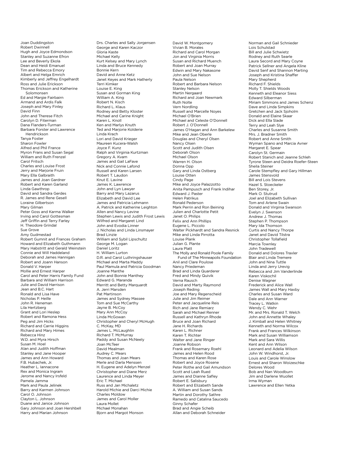Joan Duddingston Robert Dwinnell Hugh and Joyce Edmondson Stanley and Suzanne Efron Lee and Beverly Ekola Dean and Heidi Emanuel Tim and Rebecca Emory Albert and Helga Emrich Kimberly and Jeffrey Engelhardt Ross and Julie Erickson Thomas Erickson and Katherine Solomonsen Ed and Margie Fairbairn Armand and Ardis Falk Joseph and Mary Finley David Finn John and Therese Fitch Carolyn D. Fiterman Dana Flanders-Turman Barbara Forster and Lawrence Hendrickson Tanya Foster Sharon Fowler Alfred and Phil France Myron Frans and Susan Segal William and Ruth Frenzel Carol Fritsch Charles and Louise Frost Jerry and Marjorie Fruin Mary Ella Galbraith James and Joan Gardner Robert and Karen Garland Linda Gawthrop David and Sandra Gerdes R. James and Rene Gesell Loraine Gilbertson Mary Gilman Peter Goss and Karma Walker Irving and Carol Gottesman Jeff Griffin and Terry Farley H. Theodore Grindal Sue Grove Amy Gudmestad Robert Gumnit and Frances Graham Howard and Elizabeth Guthmann Mary Habstritt and Gerald Weinstein Connie and Will Haddeland Deborah and James Hannigan Robert and Joann Hanson Donald V. Harper Mollie and Ernest Harper Carol and Peter Harris Family Fund Barbara and William Harrison Julie and David Harrison Jean and B.C. Hart Ronald and Lisa Have Nicholas P. Heille John R. Heneman Lila Hertzberg Grant and Lori Heslep Robert and Ramona Hess Peg and Jim Hicks Richard and Carrie Higgins Richard and Mary Himes Rebecca Hinz W.D. and Myra Hirsch Susan M. Hoel Alan and Judith Hoffman Stanley and Jane Hooper James and Ann Howard F.B. Hubachek, Jr. Heather L. Iannacone Rex and Monica Ingram Jerome and Nancy Irsfeld Pamela Jamma Mark and Paula Jelinek Barry and Karmen Johnson Carol O. Johnson Clayton L. Johnson Duane and Janice Johnson Gary Johnson and Joan Hershbell Harry and Marian Johnson

Drs. Charles and Sally Jorgensen George and Karen Kaczor Gloria Kaste Michael Kelly Kurt Kelsey and Mary Lynch Linda and Bruce Kennedy Bonnie Kern David and Anne Ketz Janet Keyes and Mark Hatherly Terri Kimker Louise E. King Susan and Gorman King William A. King Robert N. Kisch Richard L. Klaus Rodney and Betty Kloster Michael and Carine Knight Karen L. Knoll Ken and Marlys Knuth Ted and Marjorie Kolderie Linda Krach Lori and David Krieger Maureen Kucera-Walsh Joyce F. Kunz Ralph and Virginia Kurtzman Gregory A. Kvam James and Gail LaFave Nick and Connie Lafond Russell and Karen Larsen Robert T. Laudon Knut E. Lavine James K. Lawrence John and Lyn Lawyer Barry and Mary Lazarus Elizabeth and David Lee James and Patricia Lehmann A. Patrick and Katherine Leighton Allen and Nancy Levine Stephen Lewis and Judith Frost Lewis Wilfred and Margaret Lind John and Evodia Linner J. Nicholas and Linda Linsmayer Brad Linzie William and Sybil Lipschultz George M. Logan Daniel Loritz H. William Lurton D.R. and Carol Luthringshauser Michael and Marta Maddy Paul Mamula and Patricia Goodman Joanne Manthe John and Bonnie Manthey Edward G. Maranda Merritt and Betty Marquardt A. Jerri Marsden Pat Martinson James and Sydney Massee Tom and Sue McCarthy Jayne B. McCoy Mary Ann McCoy Linda McGowan Christopher and Cheryl McHugh C. McKay, MD James L. McLaughlin Richard T. McMurray Paddy and Susan McNeely Joan McTeer David Mealman Audrey C. Mears Thomas and Joan Mears Merle and Darla Menssen H. Eugene and Adelyn Menzel Christopher and Diane Merz Laurence and Linda Meyer Eric T. Michael Russ and Jan Michaletz Harold Michie and Darci Michie Charles Moldow James and Carol Moller Laura Mollet Michael Monahan

Bjorn and Margot Monson

David W. Montgomery Vivian B. Morales Richard and Carol Morgan Jon and Virginia Morris Susan and Richard Muench Robert and Joan Murray Edwin and Mary Nakasone John and Sue Nelson Paula Nelson Robert and Barbara Nelson Stanley Nelson Martin Nergaard Richard and Joan Newmark Ruth Nolte Vern Nordling Russell and Marcelle Noyes Michael O'Brien Michael and Celeste O'Donnell Robert J. O'Donnell James O'Hagan and Ann Barkelew Mike and Jean Oberle Douglas and Cheryl Olsen Nancy Olsen Scott and Judith Olsen Deborah Olson Michael Olson Warren H. Olson Donna Opp Gary and Linda Ostberg Louise Otten Cindy Page Mike and Joyce Palazzotto Anita Pampusch and Frank Indihar Edward J. Paster Helen Patrikus Ronald Pederson Mark Perrin and Ron Beining Julien and Charlotte Petit Janet O. Philips Felix and Ann Phillips Eugene L. Piccolo Walter Pickhardt and Sandra Resnick Mike and Linda Pirrotta Louise Plank Julian G. Plante Laura Platt The Molly and Ronald Poole Family Fund of The Minneapolis Foundation Anil and Clare Poulose Nancy Priedeman Brad and Linda Quarderer Fred and Mindy Quivik Verna Rausch David and Marty Raymond Joseph Reding Joe and Mary Regenscheid Julie and Jim Reimer Peter and Jacqueline Reis Rich and Jane Remiarz Sarah and Michael Renner Russell and Kathryn Rhode Bruce and Joan Richard Jane H. Richards Karen L. Richner Karen T. Richter Walter and Jane Ringer Joanne Robson Frank and Rosemary Roehl James and Helen Rood Thomas and Karen Rose Robert and Joyce Rosene Peter Rothe and Gail Amundson Scott and Leah Rued James and Dianne Safley Robert E. Salisbury Robert and Elizabeth Sande A. William and Susan Sands Martin and Dorothy Sathre Ramedo and Catalina Saucedo Ginny Schafer Brad and Angie Scheib Allan and Deborah Schneider

Norman and Gail Schnieder Lois Schulstad Bill and Julie Schwietz Rodney and Ruth Searle Laura Secord and Mary Coyne Patrick Sellner and Angela Kline David Senf and Shannon Marting Joseph and Kristina Shaffer Mary Shepherd Richard F. Shields Molly T. Shields Woods Kenneth and Eleanor Siess Edward Silberman Miriam Simmons and James Schenz Dave and Linda Simpkins Gretchen and Jack Sjoholm Donald and Elaine Skaar Dick and Ella Slade Terry and Leah Slye Charles and Susanne Smith Mrs. J. Bradner Smith Robert and Anne Smith Wyman Spano and Marcia Avner Margaret E. Spear Carolyn St. Germain Robert Stanich and Jeanne Schleh Tyrone Steen and Deidra Roefer-Steen Sheila Steiner Carole Stempfley and Gary Hillman James Stensvold Bill and Lois Stevens Hazel S. Stoeckeler Ben Storey, Jr. Mark O. Stutrud Joel and Elizabeth Sullivan Tom and Arlene Swain Donald and Virginia Swanson Evelyn J. Swenson Andrew J. Thomas Stephen P. Thompson Mary Ida Thomson Curtis and Nancy Thorpe Janet and David Tilstra Christopher Tollafield Marcia Townley John Tradewell Donald and Dolores Traxler Blair and Linda Tremere John and Nina Tuttle Linda and Jerry Urevig Rebecca and Jim Vanderlinde Karen Viskochil Denise Wagner Frederick and Alice Wall James Wall and Mary Haxby Charles and Susan Ward Dale and Ann Warner Tracey L. Watkin Wendy C. Wehr Mr. and Mrs. Ronald T. Welch John and Annette Whaley J. Kimball and Helen Whitney Kenneth and Norma Wilcox Frank and Frances Wilkinson Mark and Susan Williamson Mark and Sara Willis Kent and Ann Wilson Leonard and Adelia Wilson John W. Windhorst, Jr. Louis and Carole Winslow Ernest and Sharon Woizeschke Delores Wood Bob and Nan Woodburn Jim and Darlene Wuollet Irma Wyman Lawrence and Ellen Yetka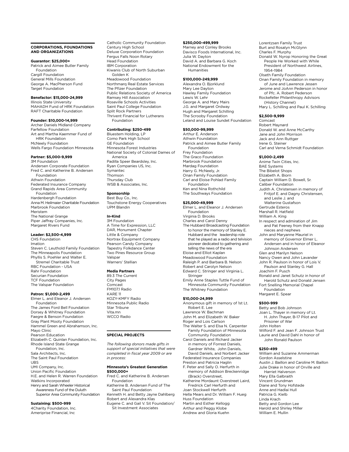# **Corporations, Foundations and Organizations**

#### **Guarantor: \$25,000+**

Patrick and Aimee Butler Family Foundation Cargill Foundation General Mills Foundation George A. MacPherson Fund Target Foundation

# **Benefactor: \$15,000-24,999**

Illinois State University MAHADH Fund of HRK Foundation RAFT Charitable Foundation

## **Founder: \$10,000-14,999**

Archer Daniels Midland Company Farfellow Foundation Art and Martha Kaemmer Fund of HRK Foundation McNeely Foundation Wells Fargo Foundation Minnesota

# **Partner: \$5,000-9,999**

3M Foundation Andersen Corporate Foundation Fred C. and Katherine B. Andersen Foundation Athwin Foundation Federated Insurance Company Grand Rapids Area Community Foundation Hardenbergh Foundation Anna M. Heilmaier Charitable Foundation Marbrook Foundation Meristem The National Grange Piper Jaffray Companies, Inc. Margaret Rivers Fund

# **Leader: \$2,500-4,999**

CHS Foundation Imation Steven C. Leuthold Family Foundation The Minneapolis Foundation Phyllis S. Poehler and Walter E. Stremel Charitable Trust RBC Foundation - USA Rahr Foundation Securian Foundation TCF Foundation The Valspar Foundation

#### **Patron: \$1,000-2,499**

Elmer L. and Eleanor J. Andersen Foundation The James Ford Bell Foundation Dorsey & Whitney Foundation Faegre & Benson Foundation Gray Plant Mooty Foundation Hammel Green and Abrahamson, Inc. Mayo Clinic Pearson Education Elizabeth C. Quinlan Foundation, Inc. Rhode Island State Grange Foundation, Inc. Sala Architects, Inc. The Saint Paul Foundation UBS UMI Company, Inc. Union Pacific Foundation H.E. and Helen R. Warren Foundation Watkins Incorporated Henry and Sarah Wheeler Historical Awareness Fund of the Duluth Superior Area Community Foundation

#### **Sustaining: \$500-999**

4Charity Foundation, Inc. Ameriprise Financial, Inc

Catholic Community Foundation Century High School Deluxe Corporation Foundation Fergus Falls Noon Rotary Head Foundation IBM Corporation Kiwanis Club of North Suburban Golden K Meadowood Foundation Northmarq Real Estate Services The Pfizer Foundation Public Relations Society of America Ramsey Hill Association Roseville Schools Activities Saint Paul College Foundation Split Rock Partners Thrivent Financial for Lutherans Foundation

# **Contributing: \$250-499**

Bluestem Holding, LP Como Park High School GE Foundation Minnesota Forest Industries National Society of Colonial Dames of America Padilla Speer Beardsley, Inc. Ryan Companies US, Inc. Symantec Thomson Thursday Club WSB & Associates, Inc.

# **Sponsorship**

Best Buy Co., Inc. Touchstone Energy Cooperatives UPM Blandin

# **In-Kind**

3M Foundation A Time for Expression, LLC DAR, Monument Chapter Little & Company Nortrax Equipment Company Pearson Candy Company Tapestry Folkdance Center Two Pines Resource Group Valspar Warners' Stellian

#### **Media Partners**

89.3 The Current City Pages Comcast FM107.1 Radio KARE 11 KOZY-KMFY Radio Minnesota Public Radio Star Tribune Vita.mn WCCO Radio

# **Special Projects**

*The following donors made gifts in support of special initiatives that were completed in fiscal year 2009 or are in process:* 

## **Minnesota's Greatest Generation \$500,000+**

Fred C. and Katherine B. Andersen Foundation

Katherine B. Andersen Fund of The Saint Paul Foundation Kenneth H. and Betty Jayne Dahlberg Robert and Alexandra Klas

Eugene C. and Gail V. Sit Foundation/ Sit Investment Associates

#### **\$250,000-499,999**

Marney and Conley Brooks Davisco Foods International, Inc. Julia W. Dayton David A. and Barbara G. Koch National Endowment for the Humanities

# **\$100,000-249,999**

Alexandra O. Bjorklund Mary Lee Dayton Hawley Family Foundation Lewis W. Lehr George A. and Mary Mairs J.G. and Margaret Ordway Hugh and Margaret Schilling The Scrooby Foundation Leland and Louise Sundet Foundation

# **\$50,000-99,999**

Arthur E. Anderson Athwin Foundation Patrick and Aimee Butler Family Foundation Frey Foundation The Graco Foundation Marbrook Foundation Mardag Foundation Harry G. McNeely, Jr. Onan Family Foundation Carl and Eloise Pohlad Family Foundation Ken and Nina Rothchild The Southways Foundation

# **\$25,000-49,999**

Elmer L. and Eleanor J. Andersen Foundation Virginia D. Brooks Charles and Carol Denny The Hubbard Broadcasting Foundation to honor the memory of Stanley E. Hubbard and the leadership role that he played as a radio and telvision pioneer dedicated to gathering and telling the news of the era Eloise and Elliot Kaplan Meadowood Foundation Raleigh P. and Barbara B. Nelson Robert and Carolyn Nelson Edward C. Stringer and Virginia L. Stringer Emily Anne Staples Tuttle Fund of Minnesota Community Foundation The Whitney Foundation **\$10,000-24,999** Anonymous gift in memory of 1st Lt. Robert E. Lee Lawrence W. Bachman John M. and Elizabeth W. Baker Roger and Lois Carlson The Walter S. and Elsa N. Carpenter

Family Foundation of Minnesota Community Foundation Carol Daniels and Richard Jacker in memory of Forrest Daniels,

Gardner White, John Daniels, David Daniels, and Norbert Jacker Federated Insurance Companies

Preston and Patricia Haglin F. Peter and Sally O. Herfurth in

memory of Addison Breckenridge (Brack) Overstreet, Katherine Mordaunt Overstreet Laird, Fredrick Carl Herfurth and Joan Stockwell Herfurth

Hella Mears and Dr. William F. Hueg Huss Foundation Martin and Esther Kellogg Arthur and Peggy Klobe

Andrew and Gloria Kuehn

Lorentzsen Family Trust Burt and Rosalyn McGlynn Charles F. Murphy Donald W. Nyrop Honoring the Great People He Worked with While President of Northwest Airlines, 1954-1984 Olseth Family Foundation Onan Family Foundation in memory of June and Lawrence Jessen Jerome and JoAnn Pederson in honor of Pfc. A. Robert Pederson Rockefeller Philanthropy Advisors (History Channel)

Mary L. Schilling and Paul K. Schilling

# **\$2,500-9,999**

Comcast Robert Maynard Donald W. and Anne McCarthy Jane and John Morrison Jack and Ann Ruttger Irene G. Steiner Carl and Verna Schmidt Foundation

# **\$1,000-2,499**

Anime Twin Cities, Inc. BAE Systems The Bibelot Shops Elizabeth A. Biorn Captain William D. Bowell, Sr. Caliber Foundation Judith A. Christensen in memory of Fritjof E. and Dagny Christensen, and Leslie J. and Walterine Gustafson Gertrude Esteros Marshall R. Hatfield William A. King In respect and admiration of Jim and Pat Feeney from their Knapp nieces and nephews John and Maryanne Mauriel in memory of Governor Elmer L. Andersen and in honor of Eleanor Johnson Andersen Glen and Marilyn Nelson Nancy Owen and John Lavander John R. Paulson in honor of Lois V. Paulson and Stanley G. Hall Joachim F. Pusch Ronald and Janet Schutz in honor of Harold Schutz and Donald Jensen Fort Snelling Memorial Chapel Foundation Margaret E. Spear

# **\$500-999**

Betty and Bob Johnson Joan L. Thayer in memory of Lt. H. John Thayer, B-17 Pilot and Prisoner of War John Holten Wilford F. and Jean F. Johnson Trust Laurie and David Dahl in honor of John Ronald Paulson

#### **\$250-499**

William and Suzanne Ammerman Gordon Asselstine Austin J. Baillon and Caroline M. Baillon Julie Drake in honor of Orville and Harriet Halverson Mary Ella Galbraith Vincent Grundman Diane and Tony Hofstede Anne and Hadlai Hull Patricia G. Kielb Linda Krach Betty and Gordon Lee Harold and Shirley Miller William E. Mullin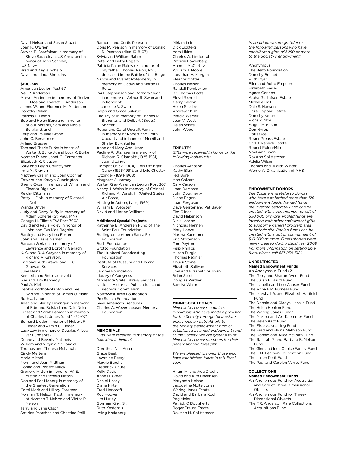David Nelson and Susan Stuart Joan K. O'Brien Steven R. Sarafolean in memory of Steve Sarafolean, US Army and in honor of John Scanlan, US Navy Brad and Angie Scheib Dave and Linda Simpkins

# **\$100-249**

American Legion Post 67 Neil P. Anderson Marvel Anderson in memory of Derlyn E. Moe and Everett B. Anderson James W. and Florence M. Anderson Dorothy Baker Patricia L. Belois Bob and Helen Bergland in honor of our parents, Sam and Mable Bergland, and Felip and Pauline Grahn John C. Bergstrom Arland Brusven Tom and Cherie Burke in honor of Walter J. Burke Jr. and Lucy K. Burke Norman R. and Janet G. Carpenter Elizabeth K. Clausen Sally and Leigh Countryman Irma M. Cragun Matthew Crellin and Joan Cochran Edward and Karayn Cunnington Sherry Cyza in memory of William and Eleanor Bigelow Reidar Dittmann Betty L. Dols in memory of Richard J. Dols Wanda Driver Judy and Gerry Duffy in memory of Adam Scherer (St. Paul, MN) George H. Elliot VFW Post 7902 David and Paula Foley in honor of John and Eva Mae Regnier Bartley and Mary Lou Foster John and Leslie Garner Barbara Gerlach in memory of Lawrence and Dorothy Gerlach K. C. and R. J. Grayson in memory of Richard A. Grayson, Carl and Ruth Grewe, and E. C. Grayson Sr. June Heinz Kenneth and Bette Jensvold Sue and Tim Kennedy Paul A. Kief Debbie Korthof-Stanton and Lee Korthof in honor of James O. Mann Ruth J. Laube Allen and Shirley Lavanger in memory of Edmund Bolstad and Dale Nelson Ernest and Sarah Lehmann in memory of Charles L. Jones (died 11-22-07) Bernard Lieder in honor of Hubert F. Lieder and Armin C. Lieder Lucy Low in memory of Douglas A. Low Oliver Lundebrek Duane and Beverly Mattheis William and Virginia McDonald Thomas and Theresa McLaughlin Cindy Mertens Marie Michel Norm and Joan Midthun Donna and Robert Mirick Gregory Mitton in honor of W. E. Mitton and Richard Mitton Don and Pat Moberg in memory of the Greatest Generation Carol Mork and Hillary Freeman Norman T. Nelson Trust in memory of Norman T. Nelson and Victor R. Nelson

Terry and Jane Olson

Sotirios Parashos and Christina Phill

Ramona and Curtis Pearson Doris M. Pearson in memory of Donald D. Pearson (died 10-8-07) Sylvia and William Rahm Peter and Betty Rogers Patricia Palon Rolewicz in honor of my father, Thomas Palon, Pfc., deceased in the Battle of the Bulge Nancy and Everett Rotenberry in memory of Gladys and Martin H. Reitz Paul Stephenson and Barbara Swan in memory of Arthur R. Swan and in honor of Jacqueline V. Swan Ralph and Grace Sulerud Elfa Taylor in memory of Charles R. Bitner, Jr. and Delbert (Boots) Shaffer Roger and Carol Upcraft Family in memory of Robert and Edith Upcraft and in honor of Merrill and Shirley Burgstahler Anne and Mary Ann Uram Pauline R. Utzinger in memory of Richard R. Clampitt (1925-1981), Joan Utzinger Clampitt (1932-2004), Lois Utzinger Carey (1926-1991), and Lyle Chester Utzinger (1894-1968) Margaret A. Varney Walter Riley American Legion Post 307 Nancy J. Walsh in memory of Colonel Richard A. Walsh, III (United States Air Force,

Missing in Action, Laos, 1969) William B. Webster David and Marion Williams

#### **Additional Special Projects**

Katherine B. Andersen Fund of The Saint Paul Foundation Burlington Northern Santa Fe Foundation Bush Foundation Grotto Foundation The Hubbard Broadcasting Foundation Institute of Museum and Library Services Jerome Foundation Library of Congress Minnesota State Library Services National Historical Publications and Records Commission Northwest Area Foundation Pro Suecia Foundation Save America's Treasures

Charles A. Weyerhaeuser Memorial Foundation

# **Memorials**

*Gifts were received in memory of the following individuals:*

Dorothea Nell Auten Grace Beek Lawraine Beery Margie Burchell Frederick Chute Kelly Davis Anne B. Green Daniel Hardy Diane Hirte Fred Honoroff Roy Hoover Jim Hurley Gorman King, Sr. Ruth Kostohris Irving Kreidberg

Miriam Lein Dick Lickteig Vera Likins Charles A. Lindbergh Patricia Lowenberg Anne L. McCarthy William J. Moore Jonathan H. Morgan Eleanor Motter Charles Nelson Randall Pemberton Dr. Thomas Potts Floyd Risvold Gerry Seldon Helen Shelley Andrew Shish Marcia Werser Jean V. West Helen White John Wood

## **Tributes**

*Gifts were received in honor of the following individuals:*

Charles Arnason Kathy Blair Ted Bore Ann Calvert Cary Carson Joan DeMarce John Dougherty Diane Eagon Joan Ferguson Dave Geister and Pat Bauer Tim Glines David Hakenson Dick Hanson Nicholas Hennen Mary Hoeve Martha Kaemmer Eric Mortenson Tom Peyton Felix Phillips Alison Purgiel Thomas Regnier Chuck Stone Elizabeth Sullivan Joel and Elizabeth Sullivan Brian Szott Douglas Verdier Sandra White

# **MINNESOTA LEGACY**

*Minnesota Legacy recognizes individuals who have made a provision for the Society through their estate plan, made an outright gift to the Society's endowment fund or established a named endowment fund at the Society. We are grateful to all Minnesota Legacy members for their generosity and foresight.* 

*We are pleased to honor those who have established funds in this fiscal year:* 

Hiram M. and Ada Drache David and Kim Hakensen Marybeth Nelson Jacqueline Nolte Jones Waring Jones Estate David and Barbara Koch Peg Meier Patrick O'Dougherty Roger Preuss Estate RoxAnn M. Splittstozer

*In addition, we are grateful to the following persons who have contributed gifts of \$250 or more to the Society's endowment:*

Anonymous The Beito Foundation Dorothy Bennett Ruth Dyer Ellen and Robb Empson Elizabeth Fesler Agnes Gerlach Alpha Gustafson Estate Michelle Hall Dale S. Hanson Hazel Toppari Estate Dorothy Kettner Richard Moe Angus Morrison Don Nyrop Doris Ocel Roger Preuss Estate Carl J. Remick Estate Robert Rulon-Miller Noel Ann Ryan RoxAnn Splittstozer Adelia Wilson Thomas and Judith Winter Women's Organization of MHS

# **Endowment Donors**

*The Society is grateful to donors who have established more than 126 endowment funds. Named funds are invested separately and can be created with a commitment or gift of \$50,000 or more. Pooled funds are invested with other endowment gifts to support a general program area or historic site. Pooled funds can be created with a gift or commitment of \$10,000 or more. Funds starred were newly created during fiscal year 2009. For more information on setting up a fund, please call 651-259-3121.*

#### **Unrestricted Named Endowment Funds**

An Anonymous Fund (2) The Terry and Sharon Avent Fund The Julian B. Baird Fund The Isabella and Leo Capser Fund The Anna E.R. Furness Fund The Marshall R. and Elizabeth Hatfield Fund The Donald and Gladys Henslin Fund The Helen Henton Fund

The Waring Jones Fund\*

- The Martha and Art Kaemmer Fund
- The Helen Katz Fund The Elsie A. Keasling Fund
- 
- The Fred and Elvina Mathison Fund The Donald and Alice McIlrath Fund
- The Raleigh P. and Barbara B. Nelson Fund
- The Glen and Inez Oehlke Family Fund The E.M. Pearson Foundation Fund The Julien Petit Fund
- The Paul and Carolyn Verret Fund

#### **Collections**

- **Named Endowment Funds** An Anonymous Fund for Acquisition and Care of Three-Dimensional Objects
- An Anonymous Fund for Three-Dimensional Objects
- The T.R. Anderson Rare Collections Acquisitions Fund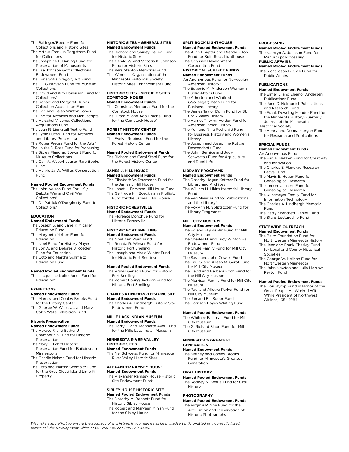The Ballinger/Boeder Fund for Collections and Historic Sites

- The Arthur Franklin Bergstrom Fund for Collections
- The Josephine L. Darling Fund for Preservation of Manuscripts
- The Lila Johnson Goff Collections Endowment Fund
- The Loris Sofia Gregory Art Fund The F.T. Gustavson Fund for Museum
- Collections The David and Kim Hakensen Fund for Collections\*
- The Ronald and Margaret Hubbs Collection Acquisition Fund
- The Carl and Helen Winton Jones Fund for Archives and Manuscripts The Herschel V. Jones Collections
- Acquisitions Fund
- The Jean R. Ljungkull Textile Fund The Lydia Lucas Fund for Archives and Library Processing
- The Roger Preuss Fund for the Arts\*
- The Louise D. Rose Fund for Processing The Sibley Flandrau Stewart Fund for
- Museum Collections The Carl A. Weyerhaeuser Rare Books
- Fund The Henrietta W. Willius Conservation
- Fund

# **Named Pooled Endowment Funds**

- The John Nelson Fund For U.S./ Dakota War and Civil War Collections\*
- The Dr. Patrick O'Dougherty Fund for Collections\*

# **Education**

- **Named Endowment Funds**
- The Joseph S. and Jane Y. Micallef Education Fund The Marybeth Nelson Fund for
- Education The Noel Fund for History Players
- The Jon A. and Delores J. Roeder Fund for Education
- The Otto and Martha Schmaltz Education Fund

# **Named Pooled Endowment Funds**

The Jacqueline Nolte Jones Fund for Education\*

# **Exhibitions**

- **Named Endowment Funds**
- The Marney and Conley Brooks Fund for the History Center The George W. Wells, Jr., and Mary Cobb Wells Exhibition Fund

#### **Historic Preservation Named Endowment Funds**

- The Horace F. and Esther J. Chamberlain Fund for Historic Preservation
- The Mary E. Lahiff Historic Preservation Fund for Buildings in
- Minneapolis The Charlie Nelson Fund for Historic Preservation
- The Otto and Martha Schmaltz Fund for the Grey Cloud Island Lime Kiln Property

*please call the Development Office at 651-259-3115 or 1-888-239-4440.*

# **Historic Sites – General Sites Named Endowment Funds**

- The Richard and Shirley DeLeo Fund for Historic Sites
- The Gerald W. and Victoria K. Johnson Fund for Historic Sites
- The Vera Stanton Memorial Fund
- The Women's Organization of the Minnesota Historical Society
- Historic Sites Enhancement Fund

#### **Historic Sites – Specific Sites Comstock House Named Endowment Funds**

- The Comstock Memorial Fund for the Comstock House
- The Hiram M. and Ada Drache Fund for the Comstock House<sup>®</sup>

# **Forest History Center**

**Named Endowment Funds** The Evelyn Robinson Fund for the Forest History Center

#### **Named Pooled Endowment Funds**

The Richard and Carol Stahl Fund for the Forest History Center

# **James J. Hill House**

- **Named Endowment Funds** The Elisabeth W. Doermann Fund for the James J. Hill House The Janet L. Erickson Hill House Fund The Gertrude Hill Boeckmann Ffolliott
- Fund for the James J. Hill House **Historic Forestville**

# **Named Endowment Funds**

The Florence Donohue Fund for Historic Forestville

# **Historic Fort Snelling**

**Named Endowment Funds** The Noel Ann Ryan Fund The Renata R. Winsor Fund for Historic Fort Snelling The Joseph and Marie Winter Fund for Historic Fort Snelling

# **Named Pooled Endowment Funds**

- The Agnes Gerlach Fund for Historic Fort Snelling The Robert Loring Jackson Fund for
- Historic Fort Snelling

#### **Charles A Lindbergh Historic Site Named Endowment Funds**

The Charles A. Lindbergh Historic Site Endowment Fund

#### **Mille Lacs Indian Museum Named Endowment Funds**

The Harry D. and Jeannette Ayer Fund for the Mille Lacs Indian Museum

#### **MINNESOTA RIVER VALLEY HISTORIC SITES**

# **Named Endowment Funds**

The Nel Schweiss Fund for Minnesota River Valley Historic Sites

# **ALEXANDER RAMSEY HOUSE**

**Named Endowment Funds** The Alexander Ramsey House Historic Site Endowment Fund\*

# **SIBLEY HOUSE HISTORIC SITE**

**Named Pooled Endowment Funds** The Dorothy M. Bennett Fund for Historic Sibley House

*We make every effort to ensure the accuracy of this listing. If your name has been inadvertently omitted or incorrectly listed,* 

The Robert and Marveen Minish Fund for the Sibley House

#### **SPLIT ROCK LIGHTHOUSE Named Pooled Endowment Funds**

The Allan L. Apter and Brenda J. Ion Fund for Split Rock Lighthouse

**PROCESSING**

Public Affairs **PUBLICATIONS**

Historical Society

**SPECIAL FUNDS Named Endowment Funds** An Anonymous Fund

and Innovation

Leave Fund The Mavis E. Hogan Fund for Genealogical Research The Lenore Jesness Fund for Genealogical Research The Kuhrmeyer Family Fund for Information Technology The Charles A. Lindbergh Memorial

Fund

Societies

Peyton Fund

**Named Endowment Funds** The Elmer L. and Eleanor Andersen Publications Fund

**Named Pooled Endowment Funds** The Kathryn A. Johnson Fund for Manuscript Processing **PUBLIC AFFAIRS**

**Named Pooled Endowment Funds** The Richardson B. Okie Fund for

The June D. Holmquist Publications and Research Fund

The Frank Dowding Mirador Fund for the Minnesota History Quarterly Journal of the Minnesota

The Henry and Donna Morgan Fund for Research and Publications

The Earl E. Bakken Fund for Creativity

The Charles E. Flandrau Research

The Betty Scandrett Oehler Fund The Stans Lectureship Fund **STATEWIDE OUTREACH Named Endowment Funds** The Beito Foundation Fund for Northwestern Minnesota History The Jean and Frank Chesley Fund for Local and County Historical

The George W. Neilson Fund for Northwestern Minnesota The John Newton and Julia Morrow

**Named Pooled Endowment Funds** The Don Nyrop Fund in Honor of the Great People He Worked With While President of Northwest Airlines, 1954-1984

## The Odyssey Development Corporation Fund

#### **HISTORICAL SUBJECT FUNDS Named Endowment Funds** An Anonymous Fund for Norwegian

American History\*

- The Eugenie M. Anderson Women in Public Affairs Fund
- The Atherton and Winifred (Wollaeger) Bean Fund for
- Business History The James Taylor Dunn Fund for St. Croix Valley History
- The Harriet Thwing Holden Fund for American Indian History
- The Ken and Nina Rothchild Fund for Business History and Women's
- History The Joseph and Josephine Ruttger
- Descendants Fund The John, Bernice and Judy Schwartau Fund for Agriculture and Rural Life

# **LIBRARY PROGRAMS**

- **Named Endowment Funds** The Dorothy Hagen Kettner Fund for Library and Archives
- The William H. Likins Memorial Library Fund
- The Peg Meier Fund for Publications and the Library\*
- The RoxAnn M. Splittstozer Fund for Library Programs\*

#### **MILL CITY MUSEUM**

#### **Named Endowment Funds** The Ed and Elly Asplin Fund for Mill

- City Museum The Charles H. and Lucy Winton Bell Endowment Fund
- The Chute Family Fund for Mill City
- Museum The Sage and John Cowles Fund
- The Paul S. and Aileen M. Gerot Fund
- for Mill City Museum The David and Barbara Koch Fund for
- the Mill City Museum\* The Morrison Family Fund for Mill City
- Museum The Paul and Allegra Parker Fund for Mill City Museum
- The Jan and Bill Spoor Fund
- The Harrison Hayes Whiting Fund

# **Named Pooled Endowment Funds**

The Whitney Eastman Fund for Mill City Museum The G. Richard Slade Fund for Mill City Museum

**Named Pooled Endowment Funds** The Rodney N. Searle Fund for Oral

**Named Pooled Endowment Funds** The Virginia P. Moe Fund for the Acquisition and Preservation of Historic Photographs

**MINNESOTA'S GREATEST GENERATION**

**Named Endowment Funds** The Marney and Conley Brooks Fund for Minnesota's Greatest

Generation **ORAL HISTORY**

History **PHOTOGRAPHY**